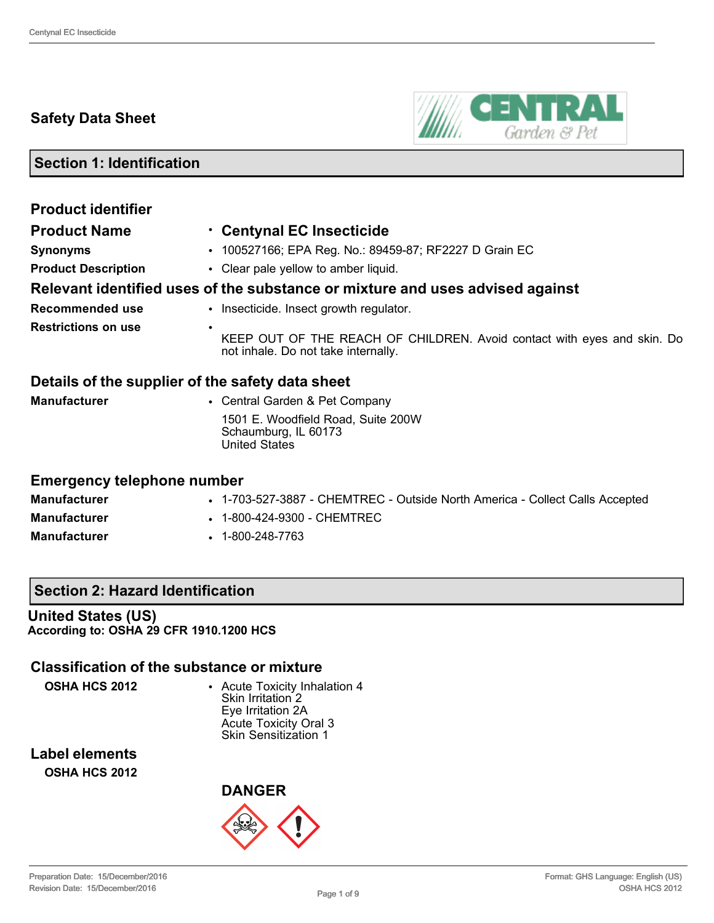## **Safety Data Sheet**



**Section 1: Identification**

| <b>Product identifier</b>                        |                                                                                                                |
|--------------------------------------------------|----------------------------------------------------------------------------------------------------------------|
| <b>Product Name</b>                              | . Centynal EC Insecticide                                                                                      |
| <b>Synonyms</b>                                  | • 100527166; EPA Reg. No.: 89459-87; RF2227 D Grain EC                                                         |
| <b>Product Description</b>                       | • Clear pale yellow to amber liquid.                                                                           |
|                                                  | Relevant identified uses of the substance or mixture and uses advised against                                  |
| <b>Recommended use</b>                           | • Insecticide. Insect growth regulator.                                                                        |
| <b>Restrictions on use</b>                       | KEEP OUT OF THE REACH OF CHILDREN. Avoid contact with eyes and skin. Do<br>not inhale. Do not take internally. |
| Details of the supplier of the safety data sheet |                                                                                                                |
| <b>Manufacturer</b>                              | • Central Garden & Pet Company                                                                                 |
|                                                  | 1501 E. Woodfield Road, Suite 200W<br>Schaumburg, IL 60173<br><b>United States</b>                             |
| <b>Emergency telephone number</b>                |                                                                                                                |
| <b>Manufacturer</b>                              | • 1-703-527-3887 - CHEMTREC - Outside North America - Collect Calls Accepted                                   |

**Manufacturer** • 1-800-424-9300 - CHEMTREC

**Manufacturer** • 1-800-248-7763

### **Section 2: Hazard Identification**

**United States (US) According to: OSHA 29 CFR 1910.1200 HCS**

## **Classification of the substance or mixture**

**OSHA HCS 2012** • Acute Toxicity Inhalation 4 Skin Irritation 2 Eye Irritation 2A Acute Toxicity Oral 3 Skin Sensitization 1

**Label elements OSHA HCS 2012**

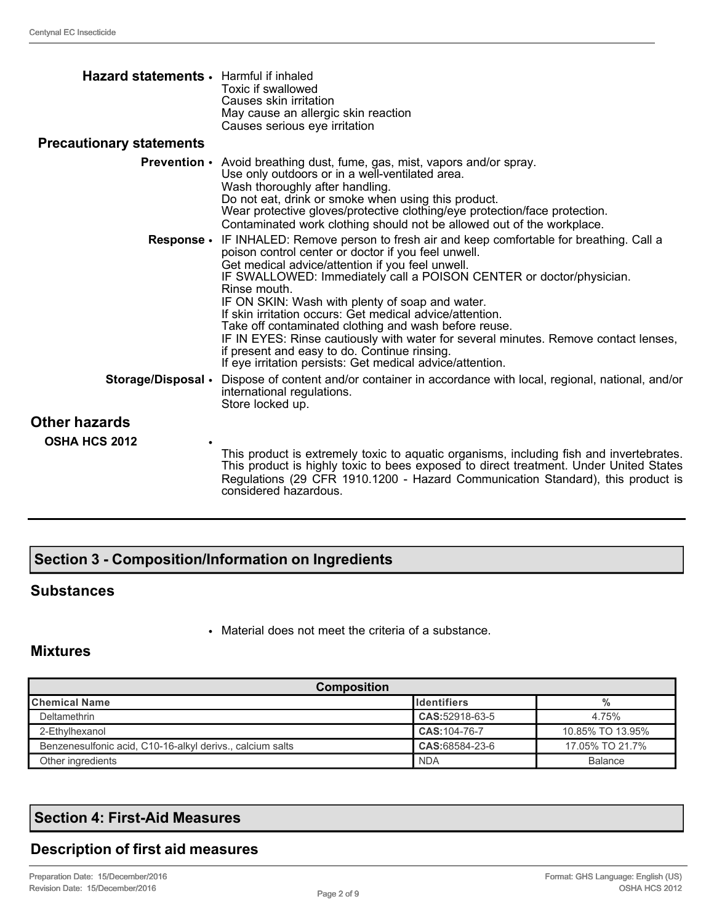| Hazard statements · Harmful if inhaled | Toxic if swallowed<br>Causes skin irritation<br>May cause an allergic skin reaction<br>Causes serious eye irritation                                                                                                                                                                                                                                                                                                                                                                                                                                                                                                                                            |
|----------------------------------------|-----------------------------------------------------------------------------------------------------------------------------------------------------------------------------------------------------------------------------------------------------------------------------------------------------------------------------------------------------------------------------------------------------------------------------------------------------------------------------------------------------------------------------------------------------------------------------------------------------------------------------------------------------------------|
| <b>Precautionary statements</b>        |                                                                                                                                                                                                                                                                                                                                                                                                                                                                                                                                                                                                                                                                 |
|                                        | <b>Prevention</b> • Avoid breathing dust, fume, gas, mist, vapors and/or spray.<br>Use only outdoors or in a well-ventilated area.<br>Wash thoroughly after handling.<br>Do not eat, drink or smoke when using this product.<br>Wear protective gloves/protective clothing/eye protection/face protection.<br>Contaminated work clothing should not be allowed out of the workplace.                                                                                                                                                                                                                                                                            |
| Response •                             | IF INHALED: Remove person to fresh air and keep comfortable for breathing. Call a<br>poison control center or doctor if you feel unwell.<br>Get medical advice/attention if you feel unwell.<br>IF SWALLOWED: Immediately call a POISON CENTER or doctor/physician.<br>Rinse mouth.<br>IF ON SKIN: Wash with plenty of soap and water.<br>If skin irritation occurs: Get medical advice/attention.<br>Take off contaminated clothing and wash before reuse.<br>IF IN EYES: Rinse cautiously with water for several minutes. Remove contact lenses,<br>if present and easy to do. Continue rinsing.<br>If eye irritation persists: Get medical advice/attention. |
| Storage/Disposal .                     | Dispose of content and/or container in accordance with local, regional, national, and/or<br>international regulations.<br>Store locked up.                                                                                                                                                                                                                                                                                                                                                                                                                                                                                                                      |
| <b>Other hazards</b>                   |                                                                                                                                                                                                                                                                                                                                                                                                                                                                                                                                                                                                                                                                 |
| <b>OSHA HCS 2012</b>                   | This product is extremely toxic to aquatic organisms, including fish and invertebrates.<br>This product is highly toxic to bees exposed to direct treatment. Under United States<br>Regulations (29 CFR 1910.1200 - Hazard Communication Standard), this product is<br>considered hazardous.                                                                                                                                                                                                                                                                                                                                                                    |

# **Section 3 - Composition/Information on Ingredients**

## **Substances**

• Material does not meet the criteria of a substance.

## **Mixtures**

| <b>Composition</b>                                        |                      |                  |  |
|-----------------------------------------------------------|----------------------|------------------|--|
| <b>I</b> Chemical Name                                    | <b>I</b> Identifiers | %                |  |
| Deltamethrin                                              | CAS:52918-63-5       | 4.75%            |  |
| 2-Ethylhexanol                                            | CAS: 104-76-7        | 10.85% TO 13.95% |  |
| Benzenesulfonic acid, C10-16-alkyl derivs., calcium salts | CAS:68584-23-6       | 17.05% TO 21.7%  |  |
| Other ingredients                                         | <b>NDA</b>           | <b>Balance</b>   |  |

# **Section 4: First-Aid Measures**

# **Description of first aid measures**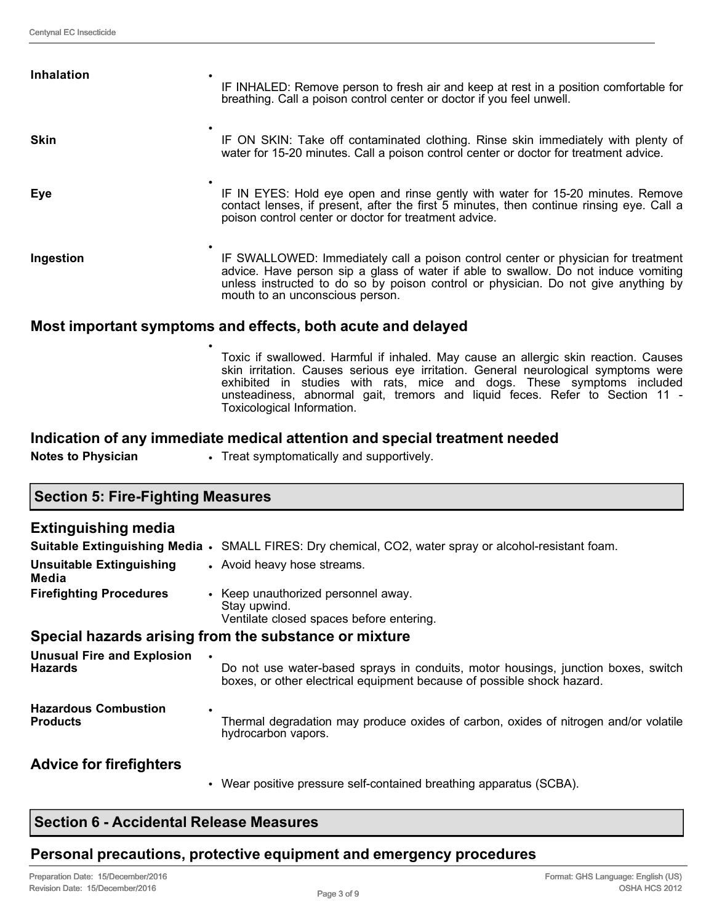| <b>Inhalation</b> | IF INHALED: Remove person to fresh air and keep at rest in a position comfortable for<br>breathing. Call a poison control center or doctor if you feel unwell.                                                                                                                                    |  |
|-------------------|---------------------------------------------------------------------------------------------------------------------------------------------------------------------------------------------------------------------------------------------------------------------------------------------------|--|
| <b>Skin</b>       | IF ON SKIN: Take off contaminated clothing. Rinse skin immediately with plenty of<br>water for 15-20 minutes. Call a poison control center or doctor for treatment advice.                                                                                                                        |  |
| <b>Eye</b>        | IF IN EYES: Hold eye open and rinse gently with water for 15-20 minutes. Remove<br>contact lenses, if present, after the first 5 minutes, then continue rinsing eye. Call a<br>poison control center or doctor for treatment advice.                                                              |  |
| Ingestion         | IF SWALLOWED: Immediately call a poison control center or physician for treatment<br>advice. Have person sip a glass of water if able to swallow. Do not induce vomiting<br>unless instructed to do so by poison control or physician. Do not give anything by<br>mouth to an unconscious person. |  |
|                   | Meet important cumptame and effects, hoth coute and deloved                                                                                                                                                                                                                                       |  |

### **Most important symptoms and effects, both acute and delayed**

•

Toxic if swallowed. Harmful if inhaled. May cause an allergic skin reaction. Causes skin irritation. Causes serious eye irritation. General neurological symptoms were exhibited in studies with rats, mice and dogs. These symptoms included unsteadiness, abnormal gait, tremors and liquid feces. Refer to Section 11 - Toxicological Information.

### **Indication of any immediate medical attention and special treatment needed**

**Notes to Physician • Treat symptomatically and supportively.** 

## **Section 5: Fire-Fighting Measures**

### **Extinguishing media**

|                                                     | <b>Suitable Extinguishing Media •</b> SMALL FIRES: Dry chemical, CO2, water spray or alcohol-resistant foam.                                                |  |  |
|-----------------------------------------------------|-------------------------------------------------------------------------------------------------------------------------------------------------------------|--|--|
| <b>Unsuitable Extinguishing</b><br>Media            | • Avoid heavy hose streams.                                                                                                                                 |  |  |
| <b>Firefighting Procedures</b>                      | • Keep unauthorized personnel away.<br>Stay upwind.<br>Ventilate closed spaces before entering.                                                             |  |  |
|                                                     | Special hazards arising from the substance or mixture                                                                                                       |  |  |
| <b>Unusual Fire and Explosion</b><br><b>Hazards</b> | Do not use water-based sprays in conduits, motor housings, junction boxes, switch<br>boxes, or other electrical equipment because of possible shock hazard. |  |  |
| <b>Hazardous Combustion</b><br><b>Products</b>      | ٠<br>Thermal degradation may produce oxides of carbon, oxides of nitrogen and/or volatile<br>hydrocarbon vapors.                                            |  |  |
| <b>Advice for firefighters</b>                      |                                                                                                                                                             |  |  |

• Wear positive pressure self-contained breathing apparatus (SCBA).

## **Personal precautions, protective equipment and emergency procedures**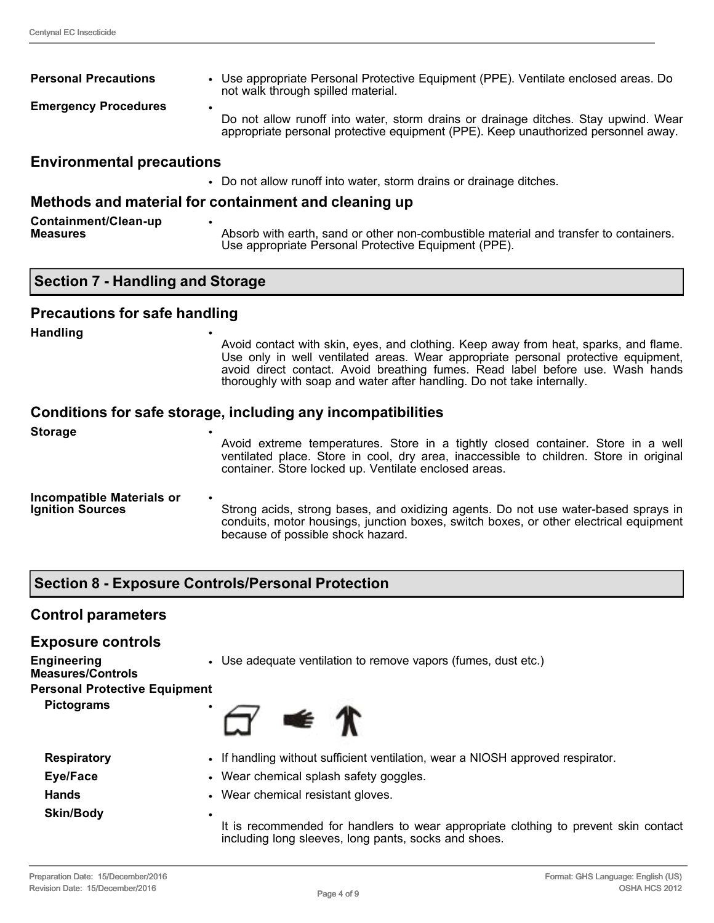| <b>Personal Precautions</b>      | • Use appropriate Personal Protective Equipment (PPE). Ventilate enclosed areas. Do<br>not walk through spilled material.                                                      |  |
|----------------------------------|--------------------------------------------------------------------------------------------------------------------------------------------------------------------------------|--|
| <b>Emergency Procedures</b>      | ٠<br>Do not allow runoff into water, storm drains or drainage ditches. Stay upwind. Wear<br>appropriate personal protective equipment (PPE). Keep unauthorized personnel away. |  |
| <b>Environmental precautions</b> |                                                                                                                                                                                |  |

#### • Do not allow runoff into water, storm drains or drainage ditches.

### **Methods and material for containment and cleaning up**

| Containment/Clean-up |                                                                                       |
|----------------------|---------------------------------------------------------------------------------------|
| <b>Measures</b>      | Absorb with earth, sand or other non-combustible material and transfer to containers. |
|                      | Use appropriate Personal Protective Equipment (PPE).                                  |

### **Precautions for safe handling**

**Handling** •

Avoid contact with skin, eyes, and clothing. Keep away from heat, sparks, and flame. Use only in well ventilated areas. Wear appropriate personal protective equipment, avoid direct contact. Avoid breathing fumes. Read label before use. Wash hands thoroughly with soap and water after handling. Do not take internally.

### **Conditions for safe storage, including any incompatibilities**

| <b>Storage</b>                                              | ٠<br>Avoid extreme temperatures. Store in a tightly closed container. Store in a well<br>ventilated place. Store in cool, dry area, inaccessible to children. Store in original<br>container. Store locked up. Ventilate enclosed areas. |
|-------------------------------------------------------------|------------------------------------------------------------------------------------------------------------------------------------------------------------------------------------------------------------------------------------------|
| <b>Incompatible Materials or</b><br><b>Ignition Sources</b> | $\bullet$<br>Strong acids, strong bases, and oxidizing agents. Do not use water-based sprays in<br>conduits, motor housings, junction boxes, switch boxes, or other electrical equipment<br>because of possible shock hazard.            |

### **Section 8 - Exposure Controls/Personal Protection**

### **Control parameters**

| <b>Exposure controls</b>                       |                                                                                                                                                  |  |  |
|------------------------------------------------|--------------------------------------------------------------------------------------------------------------------------------------------------|--|--|
| <b>Engineering</b><br><b>Measures/Controls</b> | • Use adequate ventilation to remove vapors (fumes, dust etc.)                                                                                   |  |  |
| <b>Personal Protective Equipment</b>           |                                                                                                                                                  |  |  |
| <b>Pictograms</b>                              | $\leq \pi$                                                                                                                                       |  |  |
| <b>Respiratory</b>                             | • If handling without sufficient ventilation, wear a NIOSH approved respirator.                                                                  |  |  |
| Eye/Face                                       | • Wear chemical splash safety goggles.                                                                                                           |  |  |
| <b>Hands</b>                                   | • Wear chemical resistant gloves.                                                                                                                |  |  |
| <b>Skin/Body</b>                               | ٠<br>It is recommended for handlers to wear appropriate clothing to prevent skin contact<br>including long sleeves, long pants, socks and shoes. |  |  |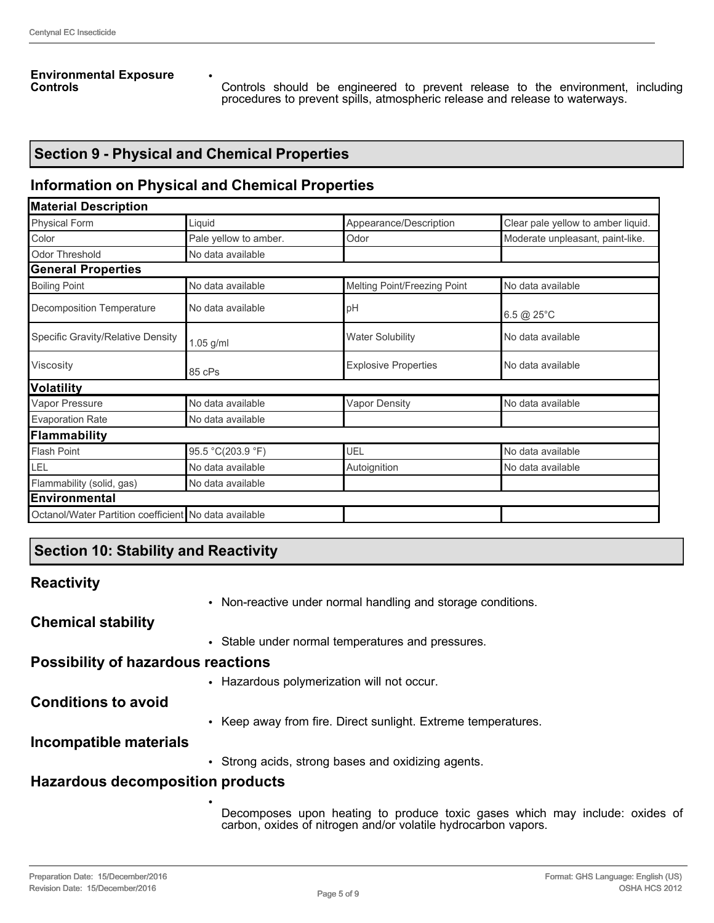#### **Environmental Exposure Controls**

Controls should be engineered to prevent release to the environment, including procedures to prevent spills, atmospheric release and release to waterways.

## **Section 9 - Physical and Chemical Properties**

## **Information on Physical and Chemical Properties**

•

| <b>Material Description</b>                           |                       |                              |                                    |
|-------------------------------------------------------|-----------------------|------------------------------|------------------------------------|
| <b>Physical Form</b>                                  | Liquid                | Appearance/Description       | Clear pale yellow to amber liquid. |
| Color                                                 | Pale yellow to amber. | Odor                         | Moderate unpleasant, paint-like.   |
| Odor Threshold                                        | No data available     |                              |                                    |
| <b>General Properties</b>                             |                       |                              |                                    |
| <b>Boiling Point</b>                                  | No data available     | Melting Point/Freezing Point | No data available                  |
| Decomposition Temperature                             | No data available     | pH                           | 6.5 @ 25°C                         |
| Specific Gravity/Relative Density                     | 1.05 g/ml             | <b>Water Solubility</b>      | No data available                  |
| Viscosity                                             | 85 cPs                | <b>Explosive Properties</b>  | No data available                  |
| <b>Volatility</b>                                     |                       |                              |                                    |
| Vapor Pressure                                        | No data available     | <b>Vapor Density</b>         | No data available                  |
| <b>Evaporation Rate</b>                               | No data available     |                              |                                    |
| <b>Flammability</b>                                   |                       |                              |                                    |
| <b>Flash Point</b>                                    | 95.5 °C(203.9 °F)     | UEL                          | No data available                  |
| LEL                                                   | No data available     | Autoignition                 | No data available                  |
| Flammability (solid, gas)                             | No data available     |                              |                                    |
| Environmental                                         |                       |                              |                                    |
| Octanol/Water Partition coefficient No data available |                       |                              |                                    |

## **Section 10: Stability and Reactivity**

### **Reactivity**

|                                           | • Non-reactive under normal handling and storage conditions.  |
|-------------------------------------------|---------------------------------------------------------------|
| <b>Chemical stability</b>                 |                                                               |
|                                           | • Stable under normal temperatures and pressures.             |
| <b>Possibility of hazardous reactions</b> |                                                               |
|                                           | • Hazardous polymerization will not occur.                    |
| <b>Conditions to avoid</b>                |                                                               |
|                                           | • Keep away from fire. Direct sunlight. Extreme temperatures. |
| Incompatible materials                    |                                                               |
|                                           | • Strong acids, strong bases and oxidizing agents.            |
| <b>Hazardous decomposition products</b>   |                                                               |
|                                           |                                                               |

Decomposes upon heating to produce toxic gases which may include: oxides of carbon, oxides of nitrogen and/or volatile hydrocarbon vapors.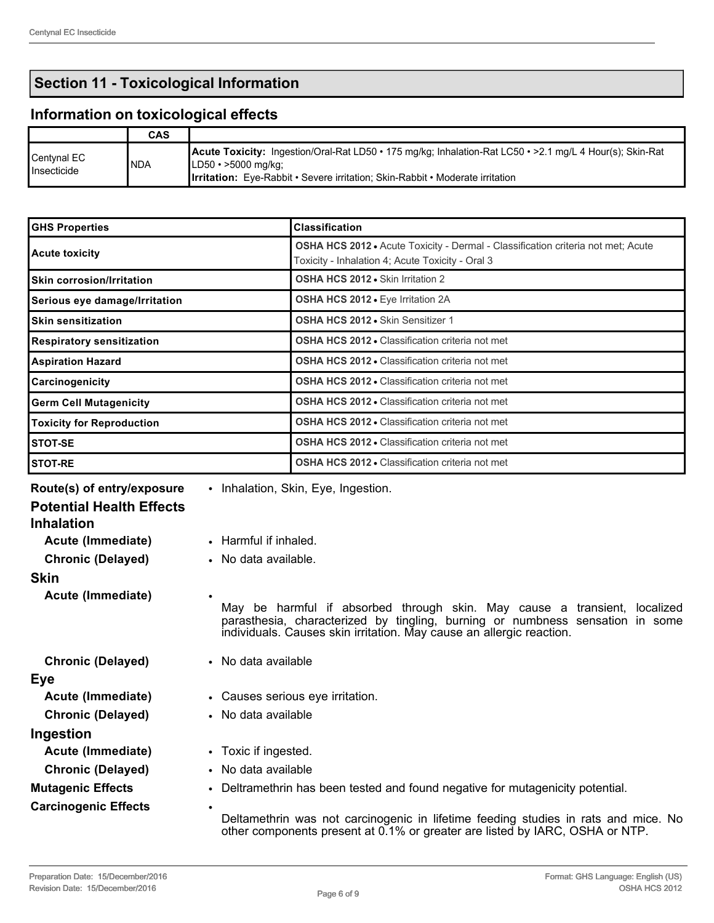# **Section 11 - Toxicological Information**

# **Information on toxicological effects**

|                                   | CAS  |                                                                                                                                                                                                                                                 |
|-----------------------------------|------|-------------------------------------------------------------------------------------------------------------------------------------------------------------------------------------------------------------------------------------------------|
| $\sf C$ entynal EC<br>Insecticide | INDA | <b>Acute Toxicity:</b> Ingestion/Oral-Rat LD50 • 175 mg/kg; Inhalation-Rat LC50 • > 2.1 mg/L 4 Hour(s); Skin-Rat<br>$ LD50 \cdot > 5000 \text{ mg/kg} $<br><b>Irritation:</b> Eye-Rabbit • Severe irritation; Skin-Rabbit • Moderate irritation |

| <b>GHS Properties</b>            | <b>Classification</b>                                                                                                                |
|----------------------------------|--------------------------------------------------------------------------------------------------------------------------------------|
| <b>Acute toxicity</b>            | OSHA HCS 2012 • Acute Toxicity - Dermal - Classification criteria not met; Acute<br>Toxicity - Inhalation 4; Acute Toxicity - Oral 3 |
| <b>Skin corrosion/Irritation</b> | OSHA HCS 2012 . Skin Irritation 2                                                                                                    |
| Serious eye damage/Irritation    | OSHA HCS 2012 . Eye Irritation 2A                                                                                                    |
| <b>Skin sensitization</b>        | OSHA HCS 2012 . Skin Sensitizer 1                                                                                                    |
| <b>Respiratory sensitization</b> | <b>OSHA HCS 2012 • Classification criteria not met</b>                                                                               |
| <b>Aspiration Hazard</b>         | <b>OSHA HCS 2012 • Classification criteria not met</b>                                                                               |
| Carcinogenicity                  | <b>OSHA HCS 2012 • Classification criteria not met</b>                                                                               |
| <b>Germ Cell Mutagenicity</b>    | <b>OSHA HCS 2012 • Classification criteria not met</b>                                                                               |
| <b>Toxicity for Reproduction</b> | <b>OSHA HCS 2012 • Classification criteria not met</b>                                                                               |
| <b>STOT-SE</b>                   | <b>OSHA HCS 2012 • Classification criteria not met</b>                                                                               |
| <b>STOT-RE</b>                   | <b>OSHA HCS 2012 • Classification criteria not met</b>                                                                               |

| Route(s) of entry/exposure                           | • Inhalation, Skin, Eye, Ingestion.                                                                                                                                                                                                |
|------------------------------------------------------|------------------------------------------------------------------------------------------------------------------------------------------------------------------------------------------------------------------------------------|
| <b>Potential Health Effects</b><br><b>Inhalation</b> |                                                                                                                                                                                                                                    |
| Acute (Immediate)                                    | • Harmful if inhaled.                                                                                                                                                                                                              |
| <b>Chronic (Delayed)</b>                             | • No data available.                                                                                                                                                                                                               |
| <b>Skin</b>                                          |                                                                                                                                                                                                                                    |
| Acute (Immediate)                                    | May be harmful if absorbed through skin. May cause a transient, localized<br>parasthesia, characterized by tingling, burning or numbness sensation in some<br>individuals. Causes skin irritation. May cause an allergic reaction. |
| <b>Chronic (Delayed)</b>                             | • No data available                                                                                                                                                                                                                |
| Eye                                                  |                                                                                                                                                                                                                                    |
| Acute (Immediate)                                    | • Causes serious eye irritation.                                                                                                                                                                                                   |
| <b>Chronic (Delayed)</b>                             | • No data available                                                                                                                                                                                                                |
| Ingestion                                            |                                                                                                                                                                                                                                    |
| Acute (Immediate)                                    | • Toxic if ingested.                                                                                                                                                                                                               |
| <b>Chronic (Delayed)</b>                             | • No data available                                                                                                                                                                                                                |
| <b>Mutagenic Effects</b>                             | • Deltramethrin has been tested and found negative for mutagenicity potential.                                                                                                                                                     |
| <b>Carcinogenic Effects</b>                          | $\bullet$<br>Deltamethrin was not carcinogenic in lifetime feeding studies in rats and mice. No<br>other components present at 0.1% or greater are listed by IARC, OSHA or NTP.                                                    |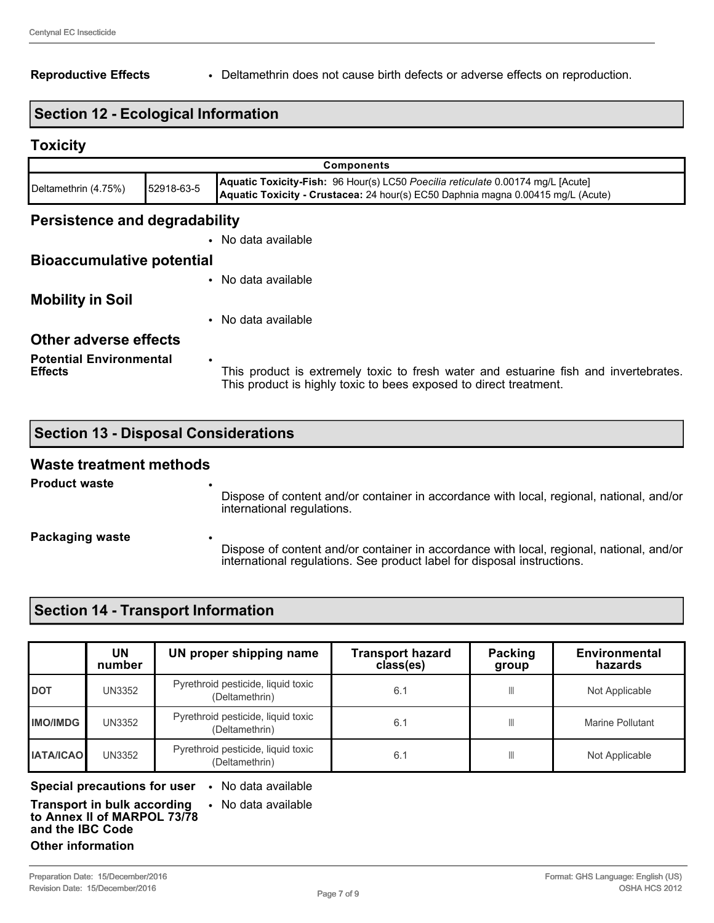### **Reproductive Effects** • Deltamethrin does not cause birth defects or adverse effects on reproduction.

### **Section 12 - Ecological Information**

### **Toxicity**

| <b>Components</b>             |            |                                                                                                                                                                     |
|-------------------------------|------------|---------------------------------------------------------------------------------------------------------------------------------------------------------------------|
| Deltamethrin (4.75%)          | 52918-63-5 | Aquatic Toxicity-Fish: 96 Hour(s) LC50 Poecilia reticulate 0.00174 mg/L [Acute]<br>Aquatic Toxicity - Crustacea: 24 hour(s) EC50 Daphnia magna 0.00415 mg/L (Acute) |
| Persistence and degradability |            |                                                                                                                                                                     |

## • No data available

#### **Bioaccumulative potential**

**Potential Environmental** 

**Effects**

|                              | • No data available |
|------------------------------|---------------------|
| <b>Mobility in Soil</b>      |                     |
|                              | • No data available |
| <b>Other adverse effects</b> |                     |

## This product is extremely toxic to fresh water and estuarine fish and invertebrates. This product is highly toxic to bees exposed to direct treatment.

## **Section 13 - Disposal Considerations**

•

### **Waste treatment methods**

| <b>Product waste</b> | ٠<br>Dispose of content and/or container in accordance with local, regional, national, and/or<br>international regulations.                                              |
|----------------------|--------------------------------------------------------------------------------------------------------------------------------------------------------------------------|
| Packaging waste      | ٠<br>Dispose of content and/or container in accordance with local, regional, national, and/or<br>international regulations. See product label for disposal instructions. |

### **Section 14 - Transport Information**

|                  | UN<br>number | UN proper shipping name                              | <b>Transport hazard</b><br>class(es) | <b>Packing</b><br>group | Environmental<br>hazards |
|------------------|--------------|------------------------------------------------------|--------------------------------------|-------------------------|--------------------------|
| <b>IDOT</b>      | UN3352       | Pyrethroid pesticide, liquid toxic<br>(Deltamethrin) | 6.1                                  |                         | Not Applicable           |
| <b>IMO/IMDG</b>  | UN3352       | Pyrethroid pesticide, liquid toxic<br>(Deltamethrin) | 6.1                                  |                         | Marine Pollutant         |
| <b>IATA/ICAO</b> | UN3352       | Pyrethroid pesticide, liquid toxic<br>(Deltamethrin) | 6.1                                  |                         | Not Applicable           |

**Special precautions for user** • No data available

• No data available

#### **Transport in bulk according to Annex II of MARPOL 73/78 and the IBC Code**

#### **Other information**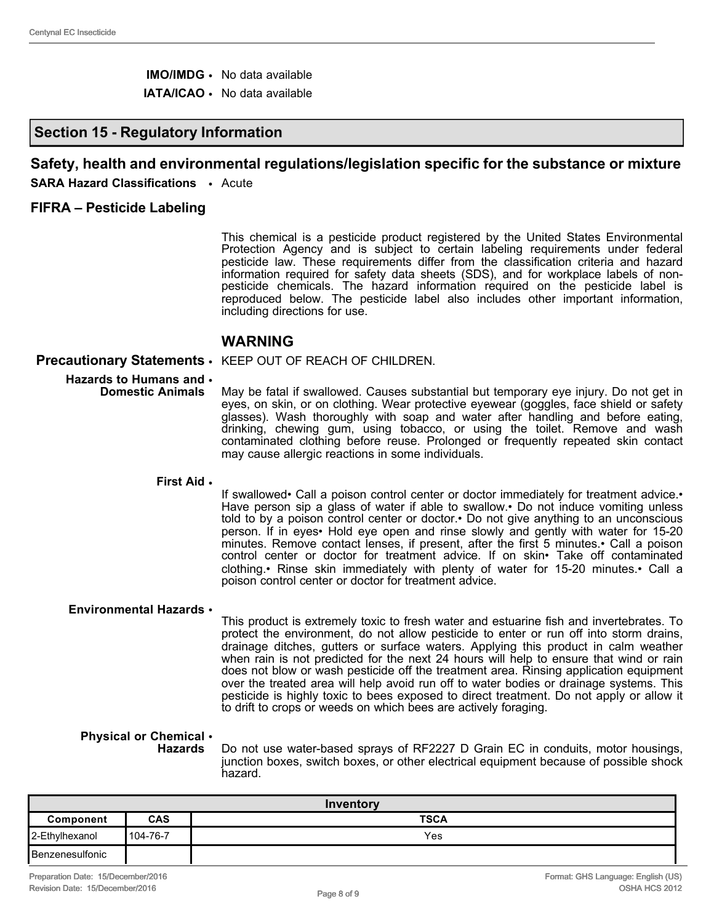- **IMO/IMDG** No data available
- **IATA/ICAO** No data available

### **Section 15 - Regulatory Information**

### **Safety, health and environmental regulations/legislation specific for the substance or mixture**

**SARA Hazard Classifications** • Acute

#### **FIFRA – Pesticide Labeling**

This chemical is a pesticide product registered by the United States Environmental Protection Agency and is subject to certain labeling requirements under federal pesticide law. These requirements differ from the classification criteria and hazard information required for safety data sheets (SDS), and for workplace labels of nonpesticide chemicals. The hazard information required on the pesticide label is reproduced below. The pesticide label also includes other important information, including directions for use.

### **WARNING**

#### **Precautionary Statements** • KEEP OUT OF REACH OF CHILDREN.

- **Hazards to Humans and Domestic Animals** May be fatal if swallowed. Causes substantial but temporary eye injury. Do not get in eyes, on skin, or on clothing. Wear protective eyewear (goggles, face shield or safety glasses). Wash thoroughly with soap and water after handling and before eating, drinking, chewing gum, using tobacco, or using the toilet. Remove and wash contaminated clothing before reuse. Prolonged or frequently repeated skin contact may cause allergic reactions in some individuals.
	- **First Aid** •

If swallowed• Call a poison control center or doctor immediately for treatment advice.• Have person sip a glass of water if able to swallow. Do not induce vomiting unless told to by a poison control center or doctor.• Do not give anything to an unconscious person. If in eyes• Hold eye open and rinse slowly and gently with water for 15-20 minutes. Remove contact lenses, if present, after the first 5 minutes.• Call a poison control center or doctor for treatment advice. If on skin• Take off contaminated clothing.• Rinse skin immediately with plenty of water for 15-20 minutes.• Call a poison control center or doctor for treatment advice.

#### **Environmental Hazards** •

This product is extremely toxic to fresh water and estuarine fish and invertebrates. To protect the environment, do not allow pesticide to enter or run off into storm drains, drainage ditches, gutters or surface waters. Applying this product in calm weather when rain is not predicted for the next 24 hours will help to ensure that wind or rain does not blow or wash pesticide off the treatment area. Rinsing application equipment over the treated area will help avoid run off to water bodies or drainage systems. This pesticide is highly toxic to bees exposed to direct treatment. Do not apply or allow it to drift to crops or weeds on which bees are actively foraging.

#### **Physical or Chemical**  • **Hazards**

Do not use water-based sprays of RF2227 D Grain EC in conduits, motor housings, junction boxes, switch boxes, or other electrical equipment because of possible shock hazard.

| Inventory         |            |             |
|-------------------|------------|-------------|
| Component         | <b>CAS</b> | <b>TSCA</b> |
| 2-Ethylhexanol    | 104-76-7   | Yes         |
| l Benzenesulfonic |            |             |